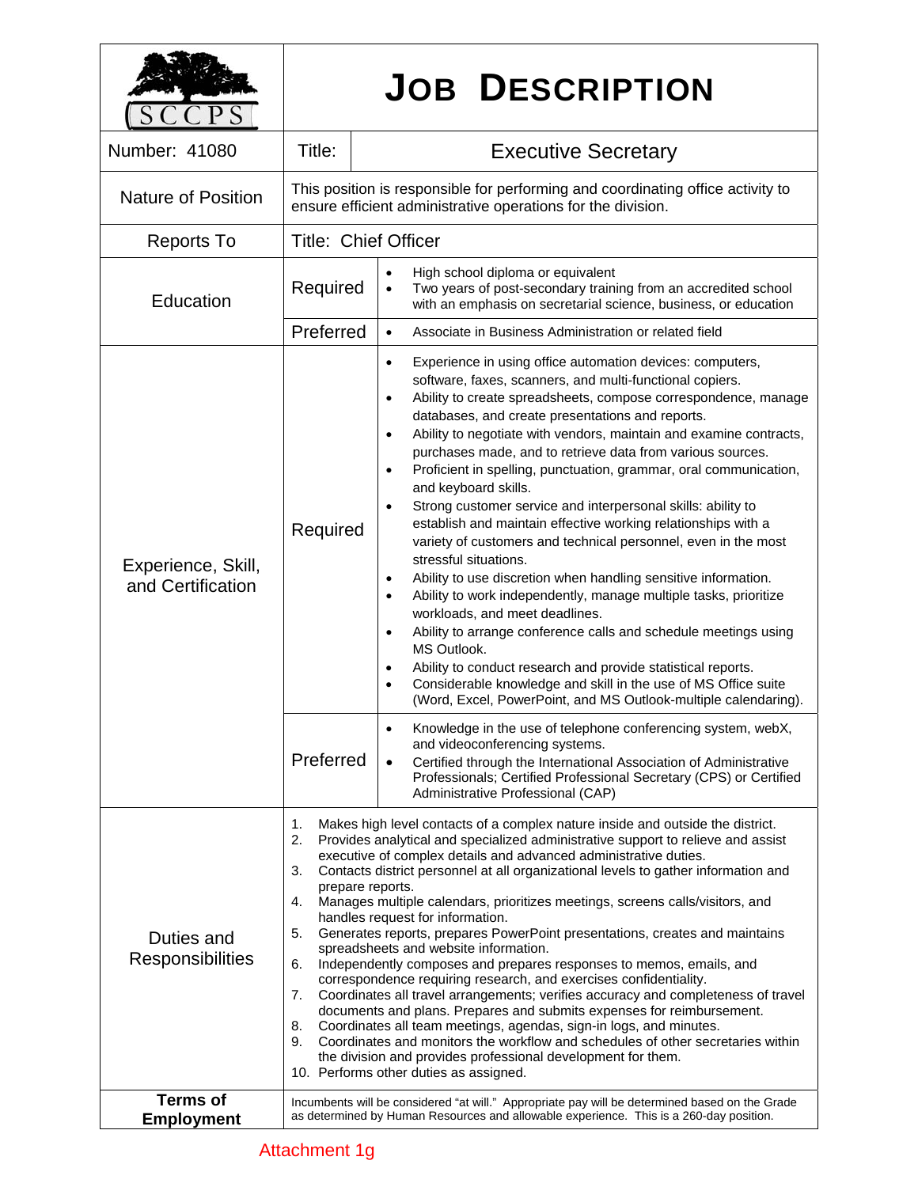|                                         |                                                                                                                                                                                                                                                                                                                                                                                                                                                                                                                                                                                                                                                                                                                                                                                                                                                                                                                                                                                                                                                                                                                                                                                                                                  | <b>JOB DESCRIPTION</b>                                                                                                                                                                                                                                                                                                                                                                                                                                                                                                                                                                                                                                                                                                                                                                                                                                                                                                                                                                                                                                                                                                                                                                                                                                                                                                                                                                                                   |  |
|-----------------------------------------|----------------------------------------------------------------------------------------------------------------------------------------------------------------------------------------------------------------------------------------------------------------------------------------------------------------------------------------------------------------------------------------------------------------------------------------------------------------------------------------------------------------------------------------------------------------------------------------------------------------------------------------------------------------------------------------------------------------------------------------------------------------------------------------------------------------------------------------------------------------------------------------------------------------------------------------------------------------------------------------------------------------------------------------------------------------------------------------------------------------------------------------------------------------------------------------------------------------------------------|--------------------------------------------------------------------------------------------------------------------------------------------------------------------------------------------------------------------------------------------------------------------------------------------------------------------------------------------------------------------------------------------------------------------------------------------------------------------------------------------------------------------------------------------------------------------------------------------------------------------------------------------------------------------------------------------------------------------------------------------------------------------------------------------------------------------------------------------------------------------------------------------------------------------------------------------------------------------------------------------------------------------------------------------------------------------------------------------------------------------------------------------------------------------------------------------------------------------------------------------------------------------------------------------------------------------------------------------------------------------------------------------------------------------------|--|
| Number: 41080                           | Title:                                                                                                                                                                                                                                                                                                                                                                                                                                                                                                                                                                                                                                                                                                                                                                                                                                                                                                                                                                                                                                                                                                                                                                                                                           | <b>Executive Secretary</b>                                                                                                                                                                                                                                                                                                                                                                                                                                                                                                                                                                                                                                                                                                                                                                                                                                                                                                                                                                                                                                                                                                                                                                                                                                                                                                                                                                                               |  |
| <b>Nature of Position</b>               | This position is responsible for performing and coordinating office activity to<br>ensure efficient administrative operations for the division.                                                                                                                                                                                                                                                                                                                                                                                                                                                                                                                                                                                                                                                                                                                                                                                                                                                                                                                                                                                                                                                                                  |                                                                                                                                                                                                                                                                                                                                                                                                                                                                                                                                                                                                                                                                                                                                                                                                                                                                                                                                                                                                                                                                                                                                                                                                                                                                                                                                                                                                                          |  |
| <b>Reports To</b>                       | <b>Title: Chief Officer</b>                                                                                                                                                                                                                                                                                                                                                                                                                                                                                                                                                                                                                                                                                                                                                                                                                                                                                                                                                                                                                                                                                                                                                                                                      |                                                                                                                                                                                                                                                                                                                                                                                                                                                                                                                                                                                                                                                                                                                                                                                                                                                                                                                                                                                                                                                                                                                                                                                                                                                                                                                                                                                                                          |  |
| Education                               | Required                                                                                                                                                                                                                                                                                                                                                                                                                                                                                                                                                                                                                                                                                                                                                                                                                                                                                                                                                                                                                                                                                                                                                                                                                         | High school diploma or equivalent<br>$\bullet$<br>Two years of post-secondary training from an accredited school<br>$\bullet$<br>with an emphasis on secretarial science, business, or education                                                                                                                                                                                                                                                                                                                                                                                                                                                                                                                                                                                                                                                                                                                                                                                                                                                                                                                                                                                                                                                                                                                                                                                                                         |  |
|                                         | Preferred                                                                                                                                                                                                                                                                                                                                                                                                                                                                                                                                                                                                                                                                                                                                                                                                                                                                                                                                                                                                                                                                                                                                                                                                                        | Associate in Business Administration or related field<br>$\bullet$                                                                                                                                                                                                                                                                                                                                                                                                                                                                                                                                                                                                                                                                                                                                                                                                                                                                                                                                                                                                                                                                                                                                                                                                                                                                                                                                                       |  |
| Experience, Skill,<br>and Certification | Required                                                                                                                                                                                                                                                                                                                                                                                                                                                                                                                                                                                                                                                                                                                                                                                                                                                                                                                                                                                                                                                                                                                                                                                                                         | Experience in using office automation devices: computers,<br>$\bullet$<br>software, faxes, scanners, and multi-functional copiers.<br>Ability to create spreadsheets, compose correspondence, manage<br>$\bullet$<br>databases, and create presentations and reports.<br>Ability to negotiate with vendors, maintain and examine contracts,<br>$\bullet$<br>purchases made, and to retrieve data from various sources.<br>Proficient in spelling, punctuation, grammar, oral communication,<br>$\bullet$<br>and keyboard skills.<br>Strong customer service and interpersonal skills: ability to<br>$\bullet$<br>establish and maintain effective working relationships with a<br>variety of customers and technical personnel, even in the most<br>stressful situations.<br>Ability to use discretion when handling sensitive information.<br>$\bullet$<br>Ability to work independently, manage multiple tasks, prioritize<br>$\bullet$<br>workloads, and meet deadlines.<br>Ability to arrange conference calls and schedule meetings using<br>$\bullet$<br>MS Outlook.<br>Ability to conduct research and provide statistical reports.<br>$\bullet$<br>Considerable knowledge and skill in the use of MS Office suite<br>$\bullet$<br>(Word, Excel, PowerPoint, and MS Outlook-multiple calendaring).<br>Knowledge in the use of telephone conferencing system, webX,<br>$\bullet$<br>and videoconferencing systems. |  |
|                                         | Preferred                                                                                                                                                                                                                                                                                                                                                                                                                                                                                                                                                                                                                                                                                                                                                                                                                                                                                                                                                                                                                                                                                                                                                                                                                        | Certified through the International Association of Administrative<br>$\bullet$<br>Professionals; Certified Professional Secretary (CPS) or Certified<br>Administrative Professional (CAP)                                                                                                                                                                                                                                                                                                                                                                                                                                                                                                                                                                                                                                                                                                                                                                                                                                                                                                                                                                                                                                                                                                                                                                                                                                |  |
| Duties and<br><b>Responsibilities</b>   | 1.<br>Makes high level contacts of a complex nature inside and outside the district.<br>2.<br>Provides analytical and specialized administrative support to relieve and assist<br>executive of complex details and advanced administrative duties.<br>3.<br>Contacts district personnel at all organizational levels to gather information and<br>prepare reports.<br>4.<br>Manages multiple calendars, prioritizes meetings, screens calls/visitors, and<br>handles request for information.<br>5.<br>Generates reports, prepares PowerPoint presentations, creates and maintains<br>spreadsheets and website information.<br>6.<br>Independently composes and prepares responses to memos, emails, and<br>correspondence requiring research, and exercises confidentiality.<br>7.<br>Coordinates all travel arrangements; verifies accuracy and completeness of travel<br>documents and plans. Prepares and submits expenses for reimbursement.<br>Coordinates all team meetings, agendas, sign-in logs, and minutes.<br>8.<br>Coordinates and monitors the workflow and schedules of other secretaries within<br>9.<br>the division and provides professional development for them.<br>10. Performs other duties as assigned. |                                                                                                                                                                                                                                                                                                                                                                                                                                                                                                                                                                                                                                                                                                                                                                                                                                                                                                                                                                                                                                                                                                                                                                                                                                                                                                                                                                                                                          |  |
| <b>Terms of</b><br><b>Employment</b>    | Incumbents will be considered "at will." Appropriate pay will be determined based on the Grade<br>as determined by Human Resources and allowable experience. This is a 260-day position.                                                                                                                                                                                                                                                                                                                                                                                                                                                                                                                                                                                                                                                                                                                                                                                                                                                                                                                                                                                                                                         |                                                                                                                                                                                                                                                                                                                                                                                                                                                                                                                                                                                                                                                                                                                                                                                                                                                                                                                                                                                                                                                                                                                                                                                                                                                                                                                                                                                                                          |  |

## Attachment 1g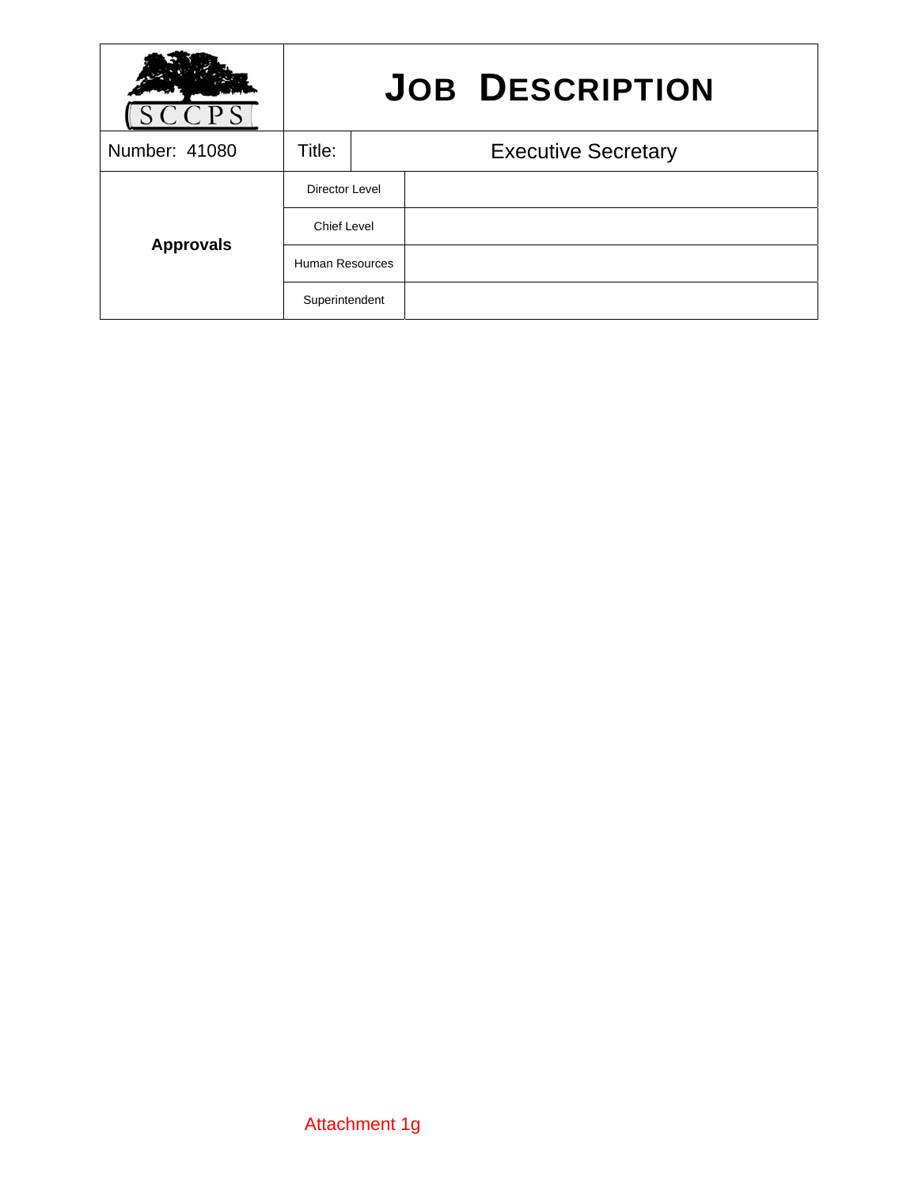|                  | <b>JOB DESCRIPTION</b> |                            |  |  |
|------------------|------------------------|----------------------------|--|--|
| Number: 41080    | Title:                 | <b>Executive Secretary</b> |  |  |
| <b>Approvals</b> | Director Level         |                            |  |  |
|                  | Chief Level            |                            |  |  |
|                  | Human Resources        |                            |  |  |
|                  | Superintendent         |                            |  |  |